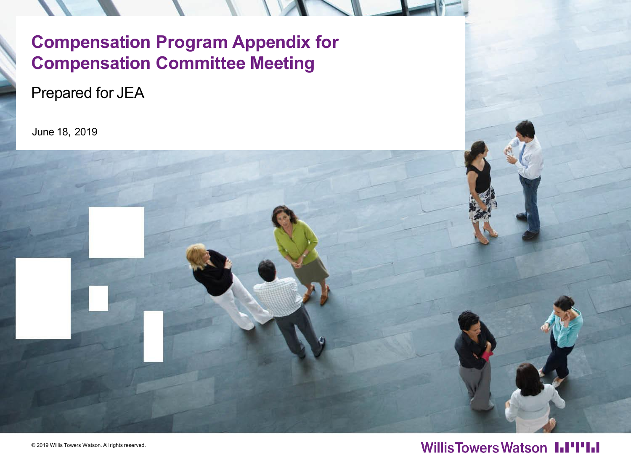# **Compensation Program Appendix for Compensation Committee Meeting**

Prepared for JEA

June 18, 2019



#### **WillisTowersWatson I.I'I'I.I**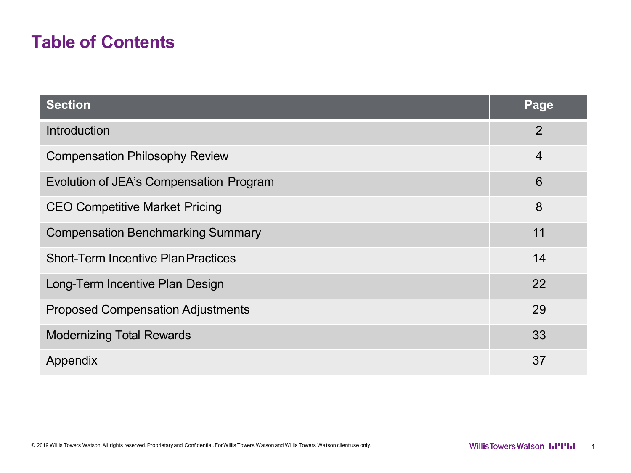### **Table of Contents**

| <b>Section</b>                             | Page            |
|--------------------------------------------|-----------------|
| Introduction                               | $\overline{2}$  |
| <b>Compensation Philosophy Review</b>      | $\overline{4}$  |
| Evolution of JEA's Compensation Program    | $6\phantom{1}6$ |
| <b>CEO Competitive Market Pricing</b>      | 8               |
| <b>Compensation Benchmarking Summary</b>   | 11              |
| <b>Short-Term Incentive Plan Practices</b> | 14              |
| Long-Term Incentive Plan Design            | 22              |
| <b>Proposed Compensation Adjustments</b>   | 29              |
| <b>Modernizing Total Rewards</b>           | 33              |
| Appendix                                   | 37              |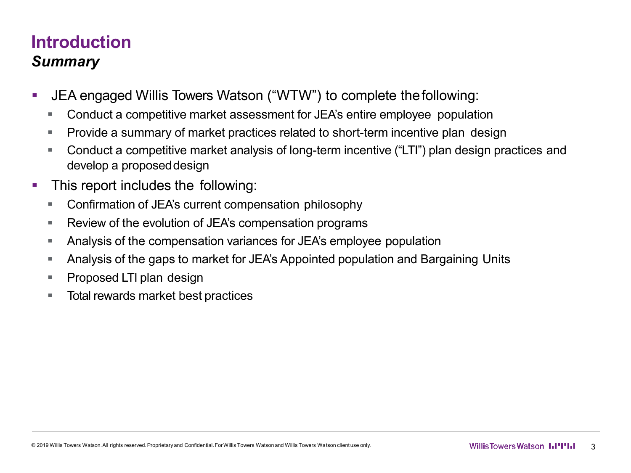## **Introduction** *Summary*

- JEA engaged Willis Towers Watson ("WTW") to complete thefollowing:
	- Conduct a competitive market assessment for JEA's entire employee population
	- Provide a summary of market practices related to short-term incentive plan design
	- Conduct a competitive market analysis of long-term incentive ("LTI") plan design practices and develop a proposeddesign
- **This report includes the following:** 
	- Confirmation of JEA's current compensation philosophy
	- Review of the evolution of JEA's compensation programs
	- Analysis of the compensation variances for JEA's employee population
	- Analysis of the gaps to market for JEA's Appointed population and Bargaining Units
	- **Proposed LTI plan design**
	- Total rewards market best practices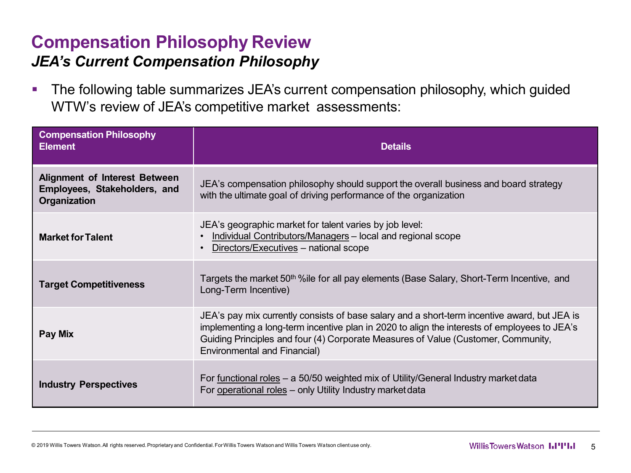#### **Compensation Philosophy Review** *JEA's Current Compensation Philosophy*

**The following table summarizes JEA's current compensation philosophy, which guided** WTW's review of JEA's competitive market assessments:

| <b>Compensation Philosophy</b><br><b>Element</b>                                     | <b>Details</b>                                                                                                                                                                                                                                                                                                    |
|--------------------------------------------------------------------------------------|-------------------------------------------------------------------------------------------------------------------------------------------------------------------------------------------------------------------------------------------------------------------------------------------------------------------|
| <b>Alignment of Interest Between</b><br>Employees, Stakeholders, and<br>Organization | JEA's compensation philosophy should support the overall business and board strategy<br>with the ultimate goal of driving performance of the organization                                                                                                                                                         |
| <b>Market for Talent</b>                                                             | JEA's geographic market for talent varies by job level:<br>Individual Contributors/Managers - local and regional scope<br>Directors/Executives - national scope                                                                                                                                                   |
| <b>Target Competitiveness</b>                                                        | Targets the market 50 <sup>th</sup> %ile for all pay elements (Base Salary, Short-Term Incentive, and<br>Long-Term Incentive)                                                                                                                                                                                     |
| Pay Mix                                                                              | JEA's pay mix currently consists of base salary and a short-term incentive award, but JEA is<br>implementing a long-term incentive plan in 2020 to align the interests of employees to JEA's<br>Guiding Principles and four (4) Corporate Measures of Value (Customer, Community,<br>Environmental and Financial) |
| <b>Industry Perspectives</b>                                                         | For functional roles – a 50/50 weighted mix of Utility/General Industry market data<br>For operational roles - only Utility Industry market data                                                                                                                                                                  |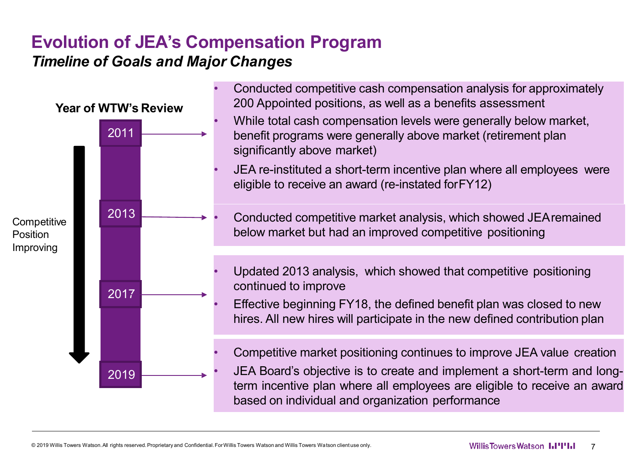#### **Evolution of JEA's Compensation Program** *Timeline of Goals and Major Changes*

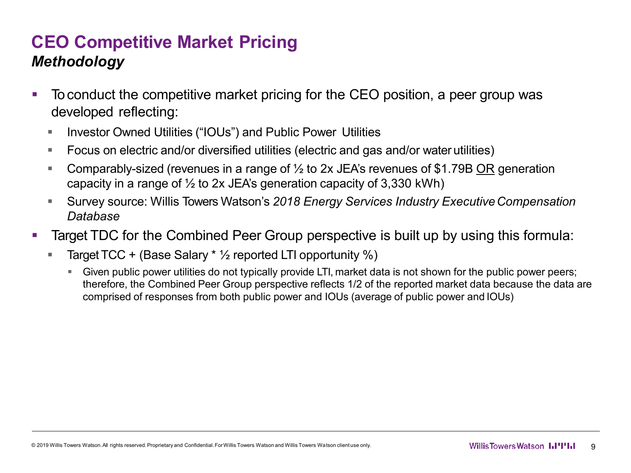## **CEO Competitive Market Pricing** *Methodology*

- To conduct the competitive market pricing for the CEO position, a peer group was developed reflecting:
	- Investor Owned Utilities ("IOUs") and Public Power Utilities
	- Focus on electric and/or diversified utilities (electric and gas and/or water utilities)
	- Comparably-sized (revenues in a range of  $\frac{1}{2}$  to 2x JEA's revenues of \$1.79B OR generation capacity in a range of  $\frac{1}{2}$  to 2x JEA's generation capacity of 3,330 kWh)
	- Survey source: Willis Towers Watson's *2018 Energy Services Industry ExecutiveCompensation Database*
- **Target TDC for the Combined Peer Group perspective is built up by using this formula:** 
	- **Target TCC + (Base Salary**  $*$  **1/<sub>2</sub> reported LTI opportunity %)** 
		- Given public power utilities do not typically provide LTI, market data is not shown for the public power peers; therefore, the Combined Peer Group perspective reflects 1/2 of the reported market data because the data are comprised of responses from both public power and IOUs (average of public power and IOUs)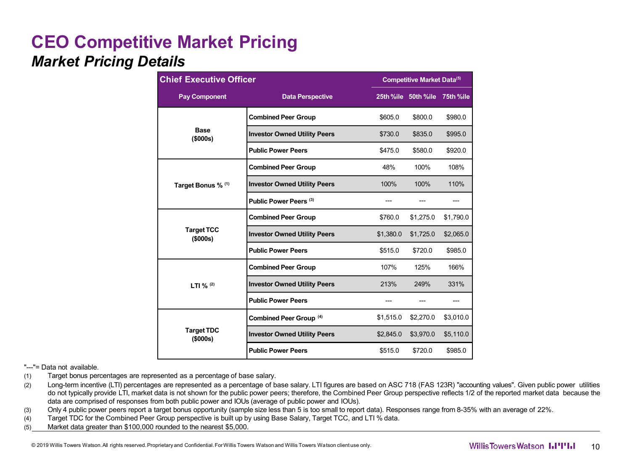#### **CEO Competitive Market Pricing** *Market Pricing Details*

|                               | <b>Chief Executive Officer</b>      |           |                               | Competitive Market Data <sup>(5)</sup> |  |  |  |
|-------------------------------|-------------------------------------|-----------|-------------------------------|----------------------------------------|--|--|--|
| <b>Pay Component</b>          | <b>Data Perspective</b>             |           | 25th %ile 50th %ile 75th %ile |                                        |  |  |  |
|                               | <b>Combined Peer Group</b>          | \$605.0   | \$800.0                       | \$980.0                                |  |  |  |
| <b>Base</b><br>(\$000s)       | <b>Investor Owned Utility Peers</b> | \$730.0   | \$835.0                       | \$995.0                                |  |  |  |
|                               | <b>Public Power Peers</b>           | \$475.0   | \$580.0                       | \$920.0                                |  |  |  |
|                               | <b>Combined Peer Group</b>          | 48%       | 100%                          | 108%                                   |  |  |  |
| Target Bonus % (1)            | <b>Investor Owned Utility Peers</b> | 100%      | 100%                          | 110%                                   |  |  |  |
|                               | Public Power Peers <sup>(3)</sup>   |           |                               |                                        |  |  |  |
|                               | <b>Combined Peer Group</b>          | \$760.0   | \$1,275.0                     | \$1,790.0                              |  |  |  |
| <b>Target TCC</b><br>(\$000s) | <b>Investor Owned Utility Peers</b> | \$1,380.0 | \$1,725.0                     | \$2,065.0                              |  |  |  |
|                               | <b>Public Power Peers</b>           | \$515.0   | \$720.0                       | \$985.0                                |  |  |  |
|                               | <b>Combined Peer Group</b>          | 107%      | 125%                          | 166%                                   |  |  |  |
| LTI % $(2)$                   | <b>Investor Owned Utility Peers</b> | 213%      | 249%                          | 331%                                   |  |  |  |
|                               | <b>Public Power Peers</b>           |           |                               | ---                                    |  |  |  |
|                               | Combined Peer Group <sup>(4)</sup>  | \$1,515.0 | \$2,270.0                     | \$3,010.0                              |  |  |  |
| <b>Target TDC</b><br>(\$000s) | <b>Investor Owned Utility Peers</b> | \$2,845.0 | \$3,970.0                     | \$5,110.0                              |  |  |  |
|                               | <b>Public Power Peers</b>           | \$515.0   | \$720.0                       | \$985.0                                |  |  |  |

"---"= Data not available.

(1) Target bonus percentages are represented as a percentage of base salary.

(2) Long-term incentive (LTI) percentages are represented as a percentage of base salary. LTI figures are based on ASC 718 (FAS 123R) "accounting values". Given public power utilities do not typically provide LTI, market data is not shown for the public power peers; therefore, the Combined Peer Group perspective reflects 1/2 of the reported market data because the data are comprised of responses from both public power and IOUs (average of public power and IOUs).

(3) Only 4 public power peers report a target bonus opportunity (sample size less than 5 is too small to report data). Responses range from 8-35% with an average of 22%.

(4) Target TDC for the Combined Peer Group perspective is built up by using Base Salary, Target TCC, and LTI % data.

(5) Market data greater than \$100,000 rounded to the nearest \$5,000.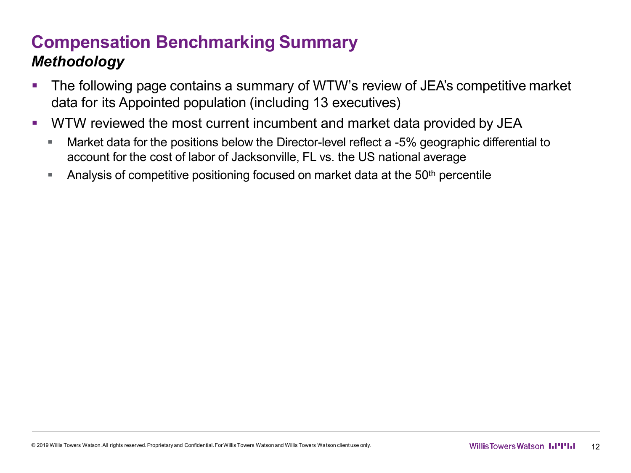# **Compensation Benchmarking Summary** *Methodology*

- The following page contains a summary of WTW's review of JEA's competitive market data for its Appointed population (including 13 executives)
- WTW reviewed the most current incumbent and market data provided by JEA
	- **Market data for the positions below the Director-level reflect a -5% geographic differential to** account for the cost of labor of Jacksonville, FL vs. the US national average
	- **Analysis of competitive positioning focused on market data at the 50<sup>th</sup> percentile**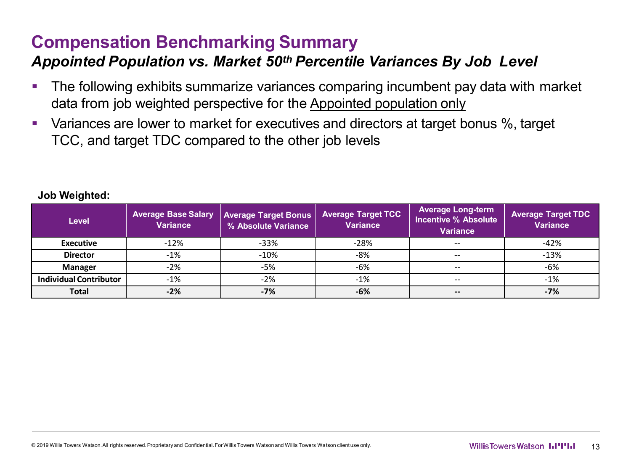# **Compensation Benchmarking Summary**

#### *Appointed Population vs. Market 50th Percentile Variances By Job Level*

- **The following exhibits summarize variances comparing incumbent pay data with market** data from job weighted perspective for the Appointed population only
- Variances are lower to market for executives and directors at target bonus %, target TCC, and target TDC compared to the other job levels

| <b>Level</b>                  | <b>Average Base Salary</b><br><b>Variance</b> | <b>Average Target Bonus</b><br>% Absolute Variance | <b>Average Target TCC</b><br><b>Variance</b> | <b>Average Long-term</b><br><b>Incentive % Absolute</b><br><b>Variance</b> | <b>Average Target TDC</b><br><b>Variance</b> |
|-------------------------------|-----------------------------------------------|----------------------------------------------------|----------------------------------------------|----------------------------------------------------------------------------|----------------------------------------------|
| <b>Executive</b>              | $-12%$                                        | $-33%$                                             | $-28%$                                       | $- -$                                                                      | $-42%$                                       |
| <b>Director</b>               | $-1\%$                                        | $-10%$                                             | -8%                                          |                                                                            | $-13%$                                       |
| <b>Manager</b>                | $-2%$                                         | $-5%$                                              | -6%                                          | $- -$                                                                      | -6%                                          |
| <b>Individual Contributor</b> | $-1%$                                         | $-2%$                                              | $-1\%$                                       | $- -$                                                                      | $-1%$                                        |
| <b>Total</b>                  | $-2%$                                         | $-7%$                                              | $-6%$                                        | --                                                                         | $-7%$                                        |

#### **Job Weighted:**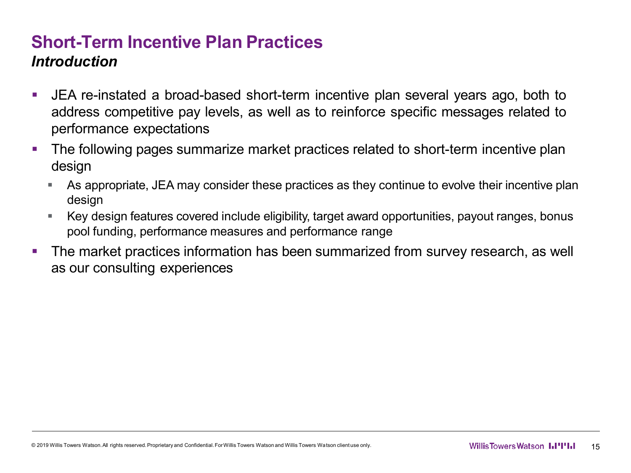#### **Short-Term Incentive Plan Practices** *Introduction*

- JEA re-instated a broad-based short-term incentive plan several years ago, both to address competitive pay levels, as well as to reinforce specific messages related to performance expectations
- The following pages summarize market practices related to short-term incentive plan design
	- As appropriate, JEA may consider these practices as they continue to evolve their incentive plan design
	- Key design features covered include eligibility, target award opportunities, payout ranges, bonus pool funding, performance measures and performance range
- **The market practices information has been summarized from survey research, as well** as our consulting experiences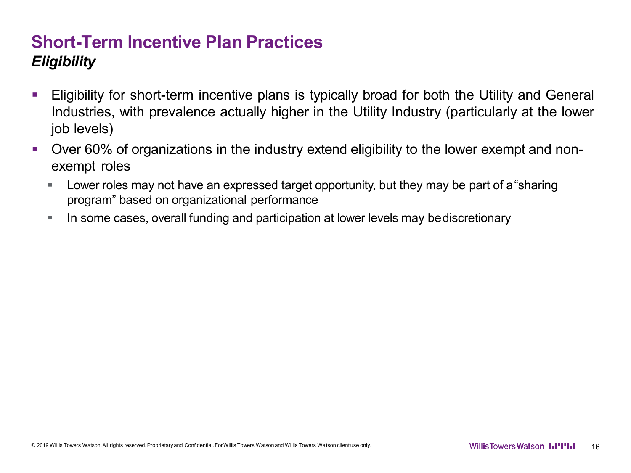## **Short-Term Incentive Plan Practices** *Eligibility*

- Eligibility for short-term incentive plans is typically broad for both the Utility and General Industries, with prevalence actually higher in the Utility Industry (particularly at the lower job levels)
- Over 60% of organizations in the industry extend eligibility to the lower exempt and nonexempt roles
	- Lower roles may not have an expressed target opportunity, but they may be part of a"sharing program" based on organizational performance
	- In some cases, overall funding and participation at lower levels may bediscretionary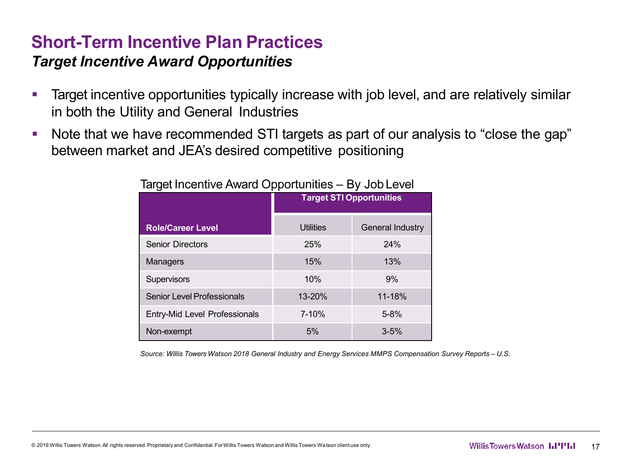#### **Short-Term Incentive Plan Practices** *Target Incentive Award Opportunities*

- Target incentive opportunities typically increase with job level, and are relatively similar in both the Utility and General Industries
- Note that we have recommended STI targets as part of our analysis to "close the gap" between market and JEA's desired competitive positioning

| ັ                             | . .<br><b>Target STI Opportunities</b> |                         |  |  |  |
|-------------------------------|----------------------------------------|-------------------------|--|--|--|
| <b>Role/Career Level</b>      | Utilities                              | <b>General Industry</b> |  |  |  |
| <b>Senior Directors</b>       | 25%                                    | 24%                     |  |  |  |
| Managers                      | 15%                                    | 13%                     |  |  |  |
| Supervisors                   | 10%                                    | 9%                      |  |  |  |
| Senior Level Professionals    | 13-20%                                 | 11-18%                  |  |  |  |
| Entry-Mid Level Professionals | 7-10%                                  | $5 - 8%$                |  |  |  |
| Non-exempt                    | 5%                                     | $3 - 5%$                |  |  |  |

#### Target Incentive Award Opportunities – By Job Level

*Source: Willis Towers Watson 2018 General Industry and Energy Services MMPS Compensation Survey Reports – U.S.*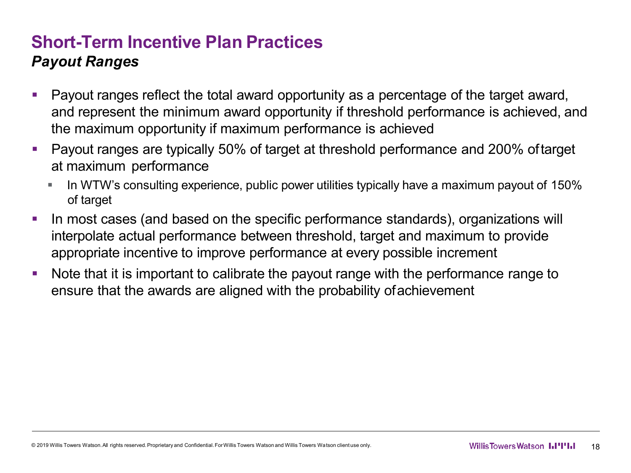### **Short-Term Incentive Plan Practices** *Payout Ranges*

- Payout ranges reflect the total award opportunity as a percentage of the target award, and represent the minimum award opportunity if threshold performance is achieved, and the maximum opportunity if maximum performance is achieved
- Payout ranges are typically 50% of target at threshold performance and 200% oftarget at maximum performance
	- In WTW's consulting experience, public power utilities typically have a maximum payout of 150% of target
- In most cases (and based on the specific performance standards), organizations will interpolate actual performance between threshold, target and maximum to provide appropriate incentive to improve performance at every possible increment
- Note that it is important to calibrate the payout range with the performance range to ensure that the awards are aligned with the probability ofachievement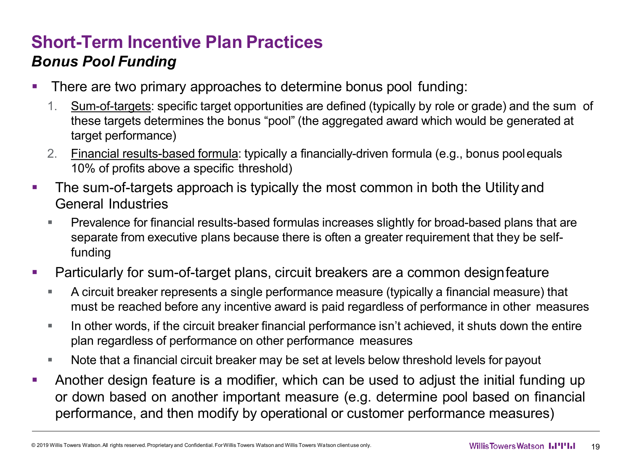# **Short-Term Incentive Plan Practices** *Bonus Pool Funding*

- **There are two primary approaches to determine bonus pool funding:** 
	- 1. Sum-of-targets: specific target opportunities are defined (typically by role or grade) and the sum of these targets determines the bonus "pool" (the aggregated award which would be generated at target performance)
	- 2. Financial results-based formula: typically a financially-driven formula (e.g., bonus poolequals 10% of profits above a specific threshold)
- The sum-of-targets approach is typically the most common in both the Utilityand General Industries
	- Prevalence for financial results-based formulas increases slightly for broad-based plans that are separate from executive plans because there is often a greater requirement that they be selffunding
- Particularly for sum-of-target plans, circuit breakers are a common designfeature
	- A circuit breaker represents a single performance measure (typically a financial measure) that must be reached before any incentive award is paid regardless of performance in other measures
	- In other words, if the circuit breaker financial performance isn't achieved, it shuts down the entire plan regardless of performance on other performance measures
	- Note that a financial circuit breaker may be set at levels below threshold levels for payout
- Another design feature is a modifier, which can be used to adjust the initial funding up or down based on another important measure (e.g. determine pool based on financial performance, and then modify by operational or customer performance measures)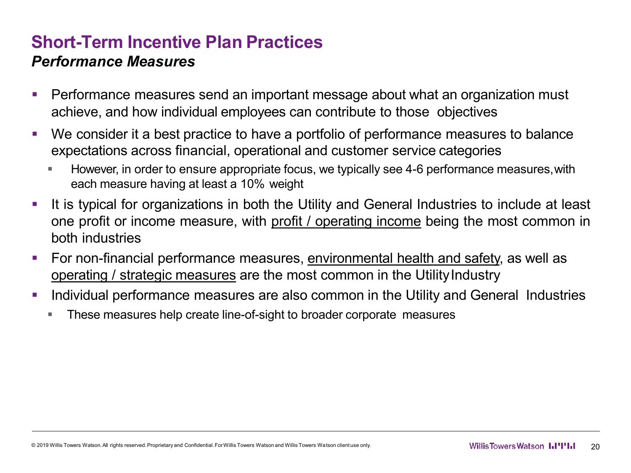#### **Short-Term Incentive Plan Practices** *Performance Measures*

- Performance measures send an important message about what an organization must achieve, and how individual employees can contribute to those objectives
- We consider it a best practice to have a portfolio of performance measures to balance expectations across financial, operational and customer service categories
	- However, in order to ensure appropriate focus, we typically see 4-6 performance measures,with each measure having at least a 10% weight
- It is typical for organizations in both the Utility and General Industries to include at least one profit or income measure, with profit / operating income being the most common in both industries
- For non-financial performance measures, environmental health and safety, as well as operating / strategic measures are the most common in the Utility Industry
- **Individual performance measures are also common in the Utility and General Industries** 
	- These measures help create line-of-sight to broader corporate measures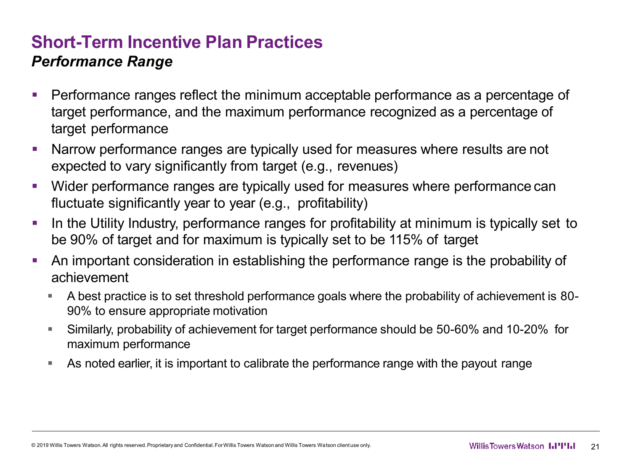#### **Short-Term Incentive Plan Practices** *Performance Range*

- **Performance ranges reflect the minimum acceptable performance as a percentage of** target performance, and the maximum performance recognized as a percentage of target performance
- Narrow performance ranges are typically used for measures where results are not expected to vary significantly from target (e.g., revenues)
- Wider performance ranges are typically used for measures where performance can fluctuate significantly year to year (e.g., profitability)
- In the Utility Industry, performance ranges for profitability at minimum is typically set to be 90% of target and for maximum is typically set to be 115% of target
- An important consideration in establishing the performance range is the probability of achievement
	- A best practice is to set threshold performance goals where the probability of achievement is 80- 90% to ensure appropriate motivation
	- Similarly, probability of achievement for target performance should be 50-60% and 10-20% for maximum performance
	- As noted earlier, it is important to calibrate the performance range with the payout range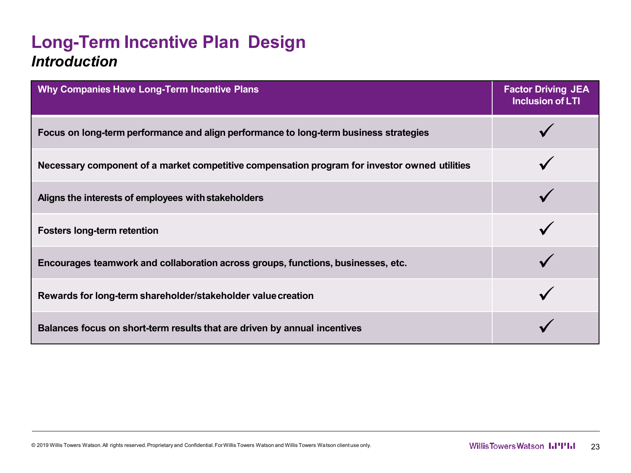### **Long-Term Incentive Plan Design** *Introduction*

| Why Companies Have Long-Term Incentive Plans                                                  | <b>Factor Driving JEA</b><br><b>Inclusion of LTI</b> |
|-----------------------------------------------------------------------------------------------|------------------------------------------------------|
| Focus on long-term performance and align performance to long-term business strategies         |                                                      |
| Necessary component of a market competitive compensation program for investor owned utilities |                                                      |
| Aligns the interests of employees with stakeholders                                           |                                                      |
| <b>Fosters long-term retention</b>                                                            |                                                      |
| Encourages teamwork and collaboration across groups, functions, businesses, etc.              |                                                      |
| Rewards for long-term shareholder/stakeholder value creation                                  |                                                      |
| Balances focus on short-term results that are driven by annual incentives                     |                                                      |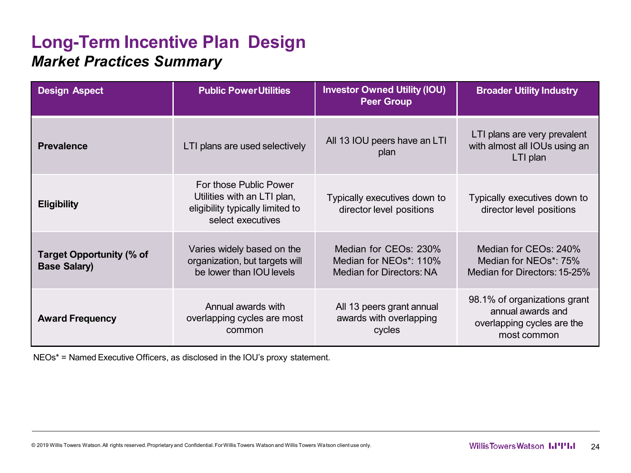### **Long-Term Incentive Plan Design** *Market Practices Summary*

| <b>Design Aspect</b>                                   | <b>Public PowerUtilities</b>                                                                                   | <b>Investor Owned Utility (IOU)</b><br><b>Peer Group</b>                                 | <b>Broader Utility Industry</b>                                                                |
|--------------------------------------------------------|----------------------------------------------------------------------------------------------------------------|------------------------------------------------------------------------------------------|------------------------------------------------------------------------------------------------|
| <b>Prevalence</b>                                      | LTI plans are used selectively                                                                                 | All 13 IOU peers have an LTI<br>plan                                                     | LTI plans are very prevalent<br>with almost all IOUs using an<br>LTI plan                      |
| <b>Eligibility</b>                                     | For those Public Power<br>Utilities with an LTI plan,<br>eligibility typically limited to<br>select executives | Typically executives down to<br>director level positions                                 | Typically executives down to<br>director level positions                                       |
| <b>Target Opportunity (% of</b><br><b>Base Salary)</b> | Varies widely based on the<br>organization, but targets will<br>be lower than IOU levels                       | Median for CEOs: 230%<br>Median for NEOs <sup>*</sup> : 110%<br>Median for Directors: NA | Median for CEOs: 240%<br>Median for NEOs*: 75%<br>Median for Directors: 15-25%                 |
| <b>Award Frequency</b>                                 | Annual awards with<br>overlapping cycles are most<br>common                                                    | All 13 peers grant annual<br>awards with overlapping<br>cycles                           | 98.1% of organizations grant<br>annual awards and<br>overlapping cycles are the<br>most common |

NEOs\* = Named Executive Officers, as disclosed in the IOU's proxy statement.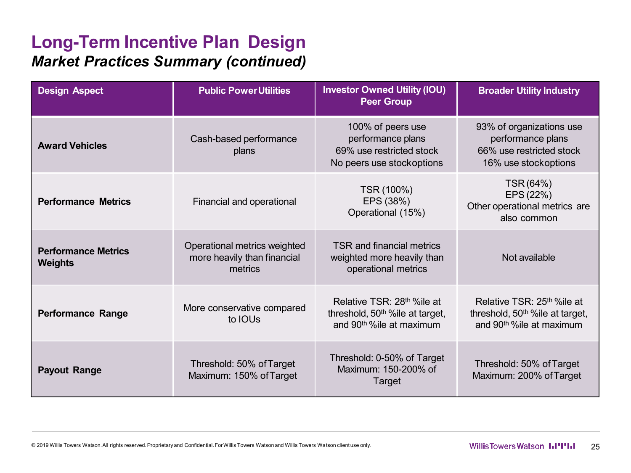### **Long-Term Incentive Plan Design** *Market Practices Summary (continued)*

| <b>Design Aspect</b>                         | <b>Public PowerUtilities</b>                                           | <b>Investor Owned Utility (IOU)</b><br><b>Peer Group</b>                                                                         | <b>Broader Utility Industry</b>                                                                                                  |  |
|----------------------------------------------|------------------------------------------------------------------------|----------------------------------------------------------------------------------------------------------------------------------|----------------------------------------------------------------------------------------------------------------------------------|--|
| <b>Award Vehicles</b>                        | Cash-based performance<br>plans                                        | 100% of peers use<br>performance plans<br>69% use restricted stock<br>No peers use stockoptions                                  | 93% of organizations use<br>performance plans<br>66% use restricted stock<br>16% use stockoptions                                |  |
| <b>Performance Metrics</b>                   | Financial and operational                                              | TSR (100%)<br>EPS (38%)<br>Operational (15%)                                                                                     | TSR (64%)<br>EPS (22%)<br>Other operational metrics are<br>also common                                                           |  |
| <b>Performance Metrics</b><br><b>Weights</b> | Operational metrics weighted<br>more heavily than financial<br>metrics | TSR and financial metrics<br>weighted more heavily than<br>operational metrics                                                   | Not available                                                                                                                    |  |
| <b>Performance Range</b>                     | More conservative compared<br>to IOUs                                  | Relative TSR: 28 <sup>th %</sup> ile at<br>threshold, 50 <sup>th %</sup> ile at target,<br>and 90 <sup>th %</sup> ile at maximum | Relative TSR: 25 <sup>th %</sup> ile at<br>threshold, 50 <sup>th %</sup> ile at target,<br>and 90 <sup>th %</sup> ile at maximum |  |
| <b>Payout Range</b>                          | Threshold: 50% of Target<br>Maximum: 150% of Target                    | Threshold: 0-50% of Target<br>Maximum: 150-200% of<br>Target                                                                     | Threshold: 50% of Target<br>Maximum: 200% of Target                                                                              |  |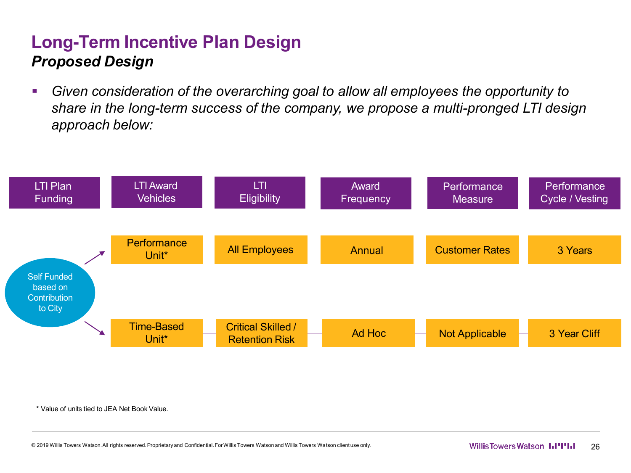### **Long-Term Incentive Plan Design** *Proposed Design*

 *Given consideration of the overarching goal to allow all employees the opportunity to share in the long-term success of the company, we propose a multi-pronged LTI design approach below:*



\* Value of units tied to JEA Net Book Value.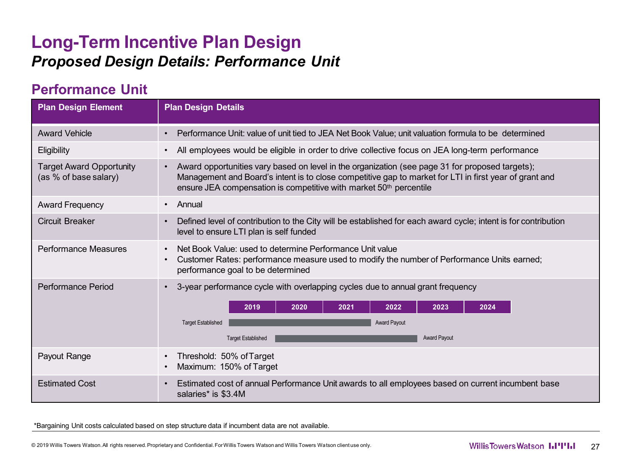#### **Long-Term Incentive Plan Design** *Proposed Design Details: Performance Unit*

#### **Performance Unit**

| <b>Plan Design Element</b>                               | <b>Plan Design Details</b>                                                                                                                                                                                                                                                                    |  |  |  |  |
|----------------------------------------------------------|-----------------------------------------------------------------------------------------------------------------------------------------------------------------------------------------------------------------------------------------------------------------------------------------------|--|--|--|--|
| <b>Award Vehicle</b>                                     | Performance Unit: value of unit tied to JEA Net Book Value; unit valuation formula to be determined<br>$\bullet$                                                                                                                                                                              |  |  |  |  |
| Eligibility                                              | All employees would be eligible in order to drive collective focus on JEA long-term performance                                                                                                                                                                                               |  |  |  |  |
| <b>Target Award Opportunity</b><br>(as % of base salary) | • Award opportunities vary based on level in the organization (see page 31 for proposed targets);<br>Management and Board's intent is to close competitive gap to market for LTI in first year of grant and<br>ensure JEA compensation is competitive with market 50 <sup>th</sup> percentile |  |  |  |  |
| <b>Award Frequency</b>                                   | Annual<br>$\bullet$                                                                                                                                                                                                                                                                           |  |  |  |  |
| <b>Circuit Breaker</b>                                   | Defined level of contribution to the City will be established for each award cycle; intent is for contribution<br>level to ensure LTI plan is self funded                                                                                                                                     |  |  |  |  |
| <b>Performance Measures</b>                              | Net Book Value: used to determine Performance Unit value<br>Customer Rates: performance measure used to modify the number of Performance Units earned;<br>performance goal to be determined                                                                                                   |  |  |  |  |
| Performance Period                                       | 3-year performance cycle with overlapping cycles due to annual grant frequency<br>$\bullet$<br>2022<br>2020<br>2021<br>2023<br>2024<br>2019<br>Award Payout<br><b>Target Established</b><br><b>Award Payout</b><br><b>Target Established</b>                                                  |  |  |  |  |
| Payout Range                                             | Threshold: 50% of Target<br>Maximum: 150% of Target                                                                                                                                                                                                                                           |  |  |  |  |
| <b>Estimated Cost</b>                                    | Estimated cost of annual Performance Unit awards to all employees based on current incumbent base<br>salaries* is \$3.4M                                                                                                                                                                      |  |  |  |  |

\*Bargaining Unit costs calculated based on step structure data if incumbent data are not available.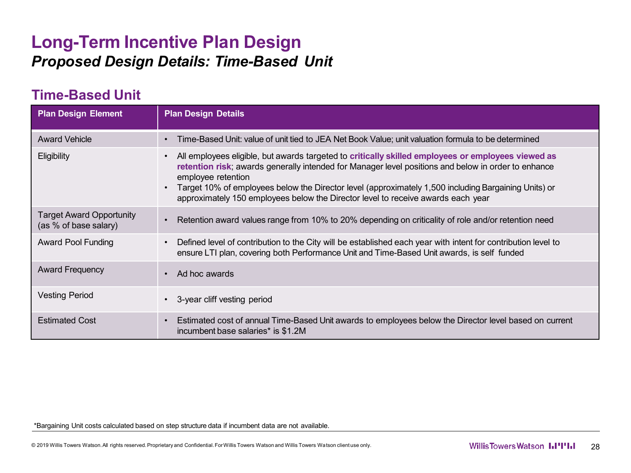#### **Long-Term Incentive Plan Design** *Proposed Design Details: Time-Based Unit*

#### **Time-Based Unit**

| <b>Plan Design Element</b>                               | <b>Plan Design Details</b>                                                                                                                                                                                                                                                                                                                                                                                                  |
|----------------------------------------------------------|-----------------------------------------------------------------------------------------------------------------------------------------------------------------------------------------------------------------------------------------------------------------------------------------------------------------------------------------------------------------------------------------------------------------------------|
| <b>Award Vehicle</b>                                     | Time-Based Unit: value of unit tied to JEA Net Book Value; unit valuation formula to be determined                                                                                                                                                                                                                                                                                                                          |
| Eligibility                                              | All employees eligible, but awards targeted to critically skilled employees or employees viewed as<br>retention risk; awards generally intended for Manager level positions and below in order to enhance<br>employee retention<br>Target 10% of employees below the Director level (approximately 1,500 including Bargaining Units) or<br>approximately 150 employees below the Director level to receive awards each year |
| <b>Target Award Opportunity</b><br>(as % of base salary) | Retention award values range from 10% to 20% depending on criticality of role and/or retention need                                                                                                                                                                                                                                                                                                                         |
| <b>Award Pool Funding</b>                                | Defined level of contribution to the City will be established each year with intent for contribution level to<br>ensure LTI plan, covering both Performance Unit and Time-Based Unit awards, is self funded                                                                                                                                                                                                                 |
| <b>Award Frequency</b>                                   | Ad hoc awards                                                                                                                                                                                                                                                                                                                                                                                                               |
| <b>Vesting Period</b>                                    | 3-year cliff vesting period                                                                                                                                                                                                                                                                                                                                                                                                 |
| <b>Estimated Cost</b>                                    | Estimated cost of annual Time-Based Unit awards to employees below the Director level based on current<br>incumbent base salaries* is \$1.2M                                                                                                                                                                                                                                                                                |

\*Bargaining Unit costs calculated based on step structure data if incumbent data are not available.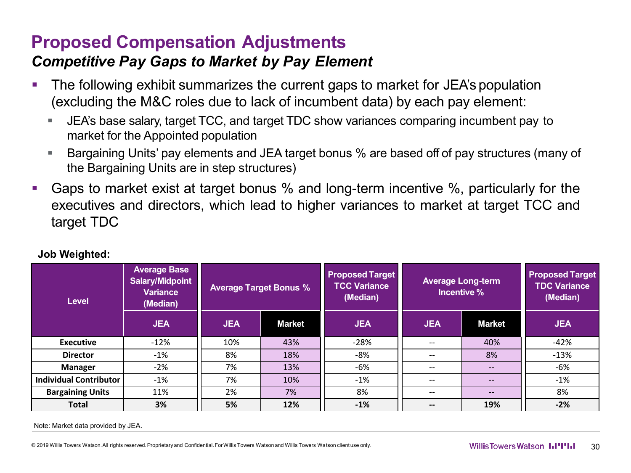# **Proposed Compensation Adjustments**

#### *Competitive Pay Gaps to Market by Pay Element*

- The following exhibit summarizes the current gaps to market for JEA's population (excluding the M&C roles due to lack of incumbent data) by each pay element:
	- JEA's base salary, target TCC, and target TDC show variances comparing incumbent pay to market for the Appointed population
	- Bargaining Units' pay elements and JEA target bonus % are based off of pay structures (many of the Bargaining Units are in step structures)
- Gaps to market exist at target bonus % and long-term incentive %, particularly for the executives and directors, which lead to higher variances to market at target TCC and target TDC

| <b>Level</b>                  | <b>Average Base</b><br><b>Salary/Midpoint</b><br><b>Variance</b><br>(Median) | <b>Average Target Bonus %</b> |               |            |                          |                   |            | <b>Proposed Target</b><br><b>TCC Variance</b><br>(Median) | <b>Average Long-term</b> | Incentive % | <b>Proposed Target</b><br><b>TDC Variance</b><br>(Median) |
|-------------------------------|------------------------------------------------------------------------------|-------------------------------|---------------|------------|--------------------------|-------------------|------------|-----------------------------------------------------------|--------------------------|-------------|-----------------------------------------------------------|
|                               | <b>JEA</b>                                                                   | <b>JEA</b>                    | <b>Market</b> | <b>JEA</b> | <b>JEA</b>               | <b>Market</b>     | <b>JEA</b> |                                                           |                          |             |                                                           |
| <b>Executive</b>              | $-12%$                                                                       | 10%                           | 43%           | $-28%$     | $\qquad \qquad -$        | 40%               | $-42%$     |                                                           |                          |             |                                                           |
| <b>Director</b>               | $-1\%$                                                                       | 8%<br>18%                     |               | -8%        | $\qquad \qquad -$        | 8%                | $-13%$     |                                                           |                          |             |                                                           |
| <b>Manager</b>                | $-2%$                                                                        | 7%<br>13%                     |               | -6%        | $\qquad \qquad -$        | $\qquad \qquad -$ | $-6%$      |                                                           |                          |             |                                                           |
| <b>Individual Contributor</b> | $-1\%$                                                                       | 7%                            | 10%           | $-1\%$     | $\qquad \qquad -$        | $\qquad \qquad -$ | $-1\%$     |                                                           |                          |             |                                                           |
| <b>Bargaining Units</b>       | 11%                                                                          | 2%                            | 7%            | 8%         | $\overline{\phantom{m}}$ | $\qquad \qquad -$ | 8%         |                                                           |                          |             |                                                           |
| <b>Total</b>                  | 3%                                                                           | 5%                            | 12%           | $-1%$      | $\overline{\phantom{m}}$ | 19%               | $-2%$      |                                                           |                          |             |                                                           |

#### **Job Weighted:**

Note: Market data provided by JEA.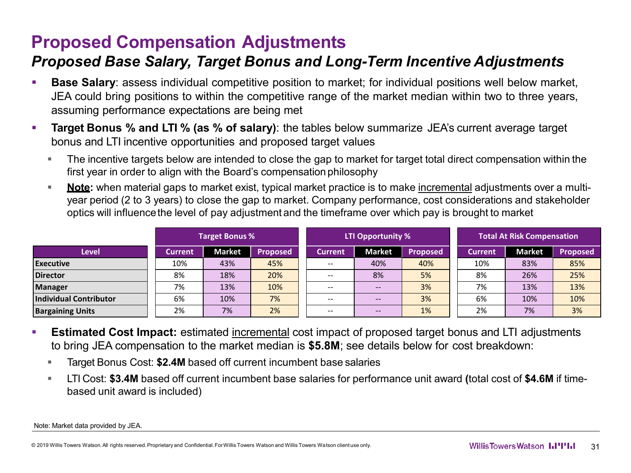# **Proposed Compensation Adjustments**

#### *Proposed Base Salary, Target Bonus and Long-Term Incentive Adjustments*

- **Base Salary**: assess individual competitive position to market; for individual positions well below market, JEA could bring positions to within the competitive range of the market median within two to three years, assuming performance expectations are being met
- **Target Bonus % and LTI % (as % of salary)**: the tables below summarize JEA's current average target bonus and LTI incentive opportunities and proposed target values
	- The incentive targets below are intended to close the gap to market for target total direct compensation within the first year in order to align with the Board's compensation philosophy
	- **Note:** when material gaps to market exist, typical market practice is to make incremental adjustments over a multiyear period (2 to 3 years) to close the gap to market. Company performance, cost considerations and stakeholder optics will influencethe level of pay adjustment and the timeframe over which pay is brought to market

|                               | <b>Target Bonus %</b> |                                  |     | LTI Opportunity % |                   |                 | <b>Total At Risk Compensation</b> |               |                 |
|-------------------------------|-----------------------|----------------------------------|-----|-------------------|-------------------|-----------------|-----------------------------------|---------------|-----------------|
| Level                         | Current               | <b>Market</b><br><b>Proposed</b> |     | Current           | <b>Market</b>     | <b>Proposed</b> | <b>Current</b>                    | <b>Market</b> | <b>Proposed</b> |
| Executive                     | 10%                   | 43%                              | 45% | $- -$             | 40%               | 40%             | 10%                               | 83%           | 85%             |
| <b>Director</b>               | 8%                    | 18%                              | 20% |                   | 8%                | 5%              | 8%                                | 26%           | 25%             |
| Manager                       | 7%                    | 13%                              | 10% | $- -$             | $--$              | 3%              | 7%                                | 13%           | 13%             |
| <b>Individual Contributor</b> | 6%                    | 10%                              | 7%  | $- -$             | $\qquad \qquad -$ | 3%              | 6%                                | 10%           | 10%             |
| <b>Bargaining Units</b>       | 2%                    | 7%                               | 2%  | $- -$             | $- -$             | 1%              | 2%                                | 7%            | 3%              |

- **Estimated Cost Impact:** estimated incremental cost impact of proposed target bonus and LTI adjustments to bring JEA compensation to the market median is **\$5.8M**; see details below for cost breakdown:
	- Target Bonus Cost: **\$2.4M** based off current incumbent base salaries
	- LTI Cost: **\$3.4M** based off current incumbent base salaries for performance unit award **(**total cost of **\$4.6M** if timebased unit award is included)

Note: Market data provided by JEA.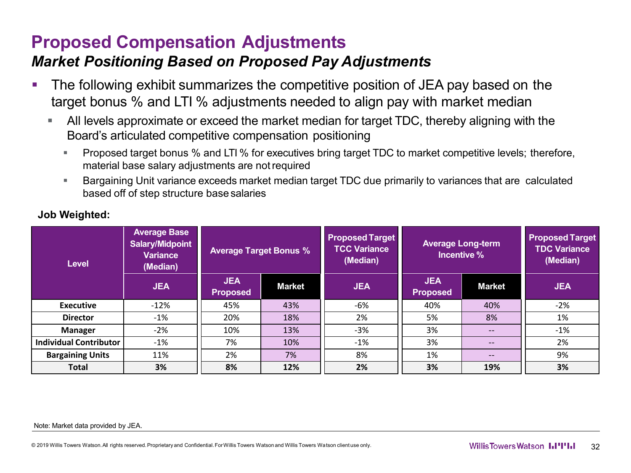# **Proposed Compensation Adjustments**

#### *Market Positioning Based on Proposed Pay Adjustments*

- The following exhibit summarizes the competitive position of JEA pay based on the target bonus % and LTI % adjustments needed to align pay with market median
	- All levels approximate or exceed the market median for target TDC, thereby aligning with the Board's articulated competitive compensation positioning
		- **Proposed target bonus % and LTI % for executives bring target TDC to market competitive levels; therefore,** material base salary adjustments are notrequired
		- Bargaining Unit variance exceeds market median target TDC due primarily to variances that are calculated based off of step structure base salaries

| <b>Level</b>                  | <b>Average Base</b><br>Salary/Midpoint<br><b>Variance</b><br>(Median) | <b>Average Target Bonus %</b> |               | <b>Proposed Target</b><br><b>TCC Variance</b><br>(Median) | <b>Average Long-term</b><br>Incentive % |                   | <b>Proposed Target</b><br><b>TDC Variance</b><br>(Median) |
|-------------------------------|-----------------------------------------------------------------------|-------------------------------|---------------|-----------------------------------------------------------|-----------------------------------------|-------------------|-----------------------------------------------------------|
|                               | <b>JEA</b>                                                            | <b>JEA</b><br><b>Proposed</b> | <b>Market</b> | <b>JEA</b>                                                | <b>JEA</b><br><b>Proposed</b>           | <b>Market</b>     | <b>JEA</b>                                                |
| <b>Executive</b>              | $-12%$                                                                | 45%                           | 43%           | -6%                                                       | 40%                                     | 40%               | $-2%$                                                     |
| <b>Director</b>               | $-1\%$                                                                | 20%                           | 18%           | 2%                                                        | 5%                                      | 8%                | 1%                                                        |
| Manager                       | $-2\%$                                                                | 10%                           | 13%           | -3%                                                       | 3%                                      | $\qquad \qquad -$ | $-1\%$                                                    |
| <b>Individual Contributor</b> | $-1\%$                                                                | 7%                            | 10%           | $-1\%$                                                    | 3%                                      | $\qquad \qquad -$ | 2%                                                        |
| <b>Bargaining Units</b>       | 11%                                                                   | 2%                            | 7%            | 8%                                                        | 1%                                      | $\qquad \qquad -$ | 9%                                                        |
| <b>Total</b>                  | 3%                                                                    | 8%                            | 12%           | 2%                                                        | 3%                                      | 19%               | 3%                                                        |

#### **Job Weighted:**

#### Note: Market data provided by JEA.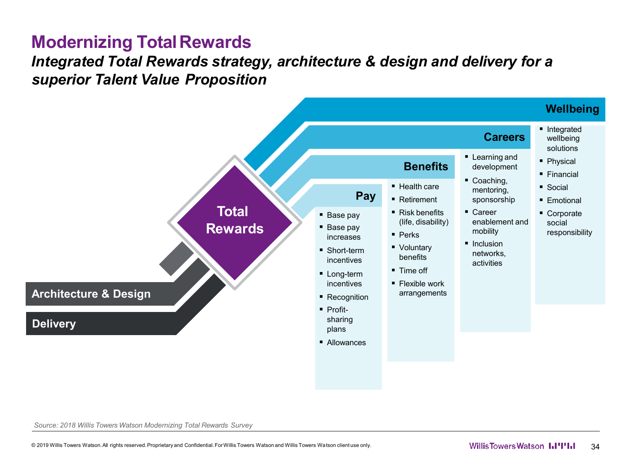#### **Modernizing TotalRewards**

#### *Integrated Total Rewards strategy, architecture & design and delivery for a superior Talent Value Proposition*



*Source: 2018 Willis Towers Watson Modernizing Total Rewards Survey*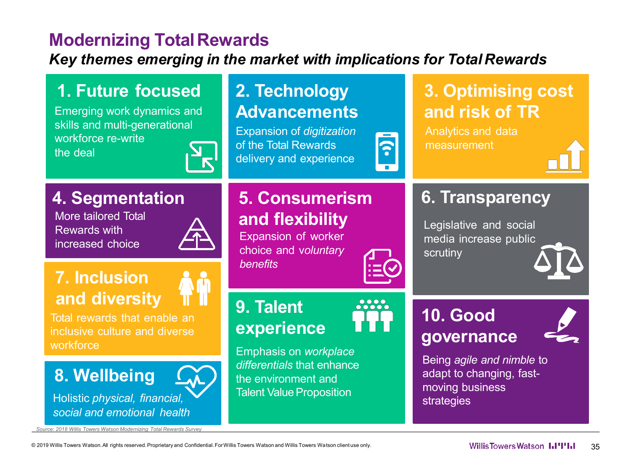#### **Modernizing TotalRewards**

*Key themes emerging in the market with implications for Total Rewards*